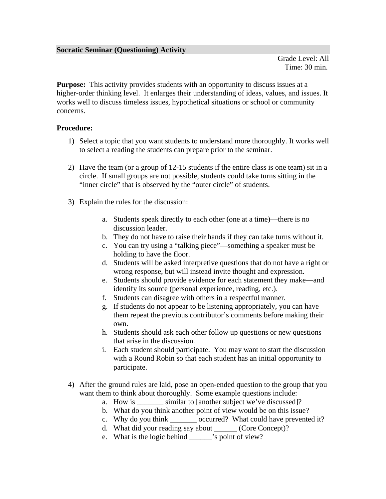Grade Level: All Time: 30 min.

**Purpose:** This activity provides students with an opportunity to discuss issues at a higher-order thinking level. It enlarges their understanding of ideas, values, and issues. It works well to discuss timeless issues, hypothetical situations or school or community concerns.

## **Procedure:**

- 1) Select a topic that you want students to understand more thoroughly. It works well to select a reading the students can prepare prior to the seminar.
- 2) Have the team (or a group of 12-15 students if the entire class is one team) sit in a circle. If small groups are not possible, students could take turns sitting in the "inner circle" that is observed by the "outer circle" of students.
- 3) Explain the rules for the discussion:
	- a. Students speak directly to each other (one at a time)—there is no discussion leader.
	- b. They do not have to raise their hands if they can take turns without it.
	- c. You can try using a "talking piece"—something a speaker must be holding to have the floor.
	- d. Students will be asked interpretive questions that do not have a right or wrong response, but will instead invite thought and expression.
	- e. Students should provide evidence for each statement they make—and identify its source (personal experience, reading, etc.).
	- f. Students can disagree with others in a respectful manner.
	- g. If students do not appear to be listening appropriately, you can have them repeat the previous contributor's comments before making their own.
	- h. Students should ask each other follow up questions or new questions that arise in the discussion.
	- i. Each student should participate. You may want to start the discussion with a Round Robin so that each student has an initial opportunity to participate.
- 4) After the ground rules are laid, pose an open-ended question to the group that you want them to think about thoroughly. Some example questions include:
	- a. How is similar to [another subject we've discussed]?
	- b. What do you think another point of view would be on this issue?
	- c. Why do you think \_\_\_\_\_\_\_ occurred? What could have prevented it?
	- d. What did your reading say about (Core Concept)?
	- e. What is the logic behind \_\_\_\_\_\_'s point of view?